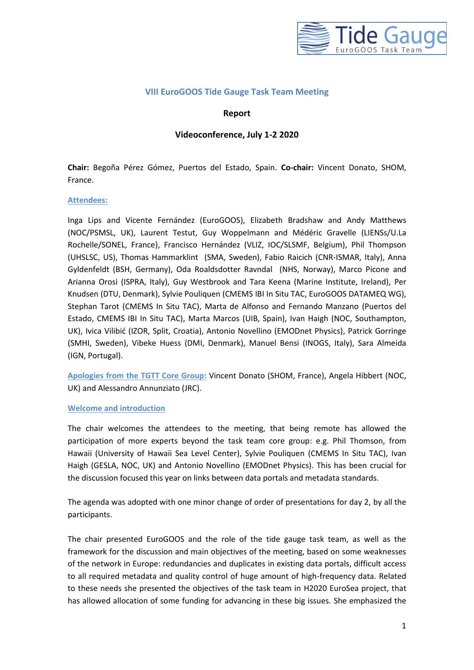

### **VIII EuroGOOS Tide Gauge Task Team Meeting**

### **Report**

### **Videoconference, July 1-2 2020**

**Chair:** Begoña Pérez Gómez, Puertos del Estado, Spain. **Co-chair:** Vincent Donato, SHOM, France.

#### **Attendees:**

Inga Lips and Vicente Fernández (EuroGOOS), Elizabeth Bradshaw and Andy Matthews (NOC/PSMSL, UK), Laurent Testut, Guy Woppelmann and Médéric Gravelle (LIENSs/U.La Rochelle/SONEL, France), Francisco Hernández (VLIZ, IOC/SLSMF, Belgium), Phil Thompson (UHSLSC, US), Thomas Hammarklint (SMA, Sweden), Fabio Raicich (CNR-ISMAR, Italy), Anna Gyldenfeldt (BSH, Germany), Oda Roaldsdotter Ravndal (NHS, Norway), Marco Picone and Arianna Orosi (ISPRA, Italy), Guy Westbrook and Tara Keena (Marine Institute, Ireland), Per Knudsen (DTU, Denmark), Sylvie Pouliquen (CMEMS IBI In Situ TAC, EuroGOOS DATAMEQ WG), Stephan Tarot (CMEMS In Situ TAC), Marta de Alfonso and Fernando Manzano (Puertos del Estado, CMEMS IBI In Situ TAC), Marta Marcos (UIB, Spain), Ivan Haigh (NOC, Southampton, UK), Ivica Vilibić (IZOR, Split, Croatia), Antonio Novellino (EMODnet Physics), Patrick Gorringe (SMHI, Sweden), Vibeke Huess (DMI, Denmark), Manuel Bensi (INOGS, Italy), Sara Almeida (IGN, Portugal).

**Apologies from the TGTT Core Group:** Vincent Donato (SHOM, France), Angela Hibbert (NOC, UK) and Alessandro Annunziato (JRC).

#### **Welcome and introduction**

The chair welcomes the attendees to the meeting, that being remote has allowed the participation of more experts beyond the task team core group: e.g. Phil Thomson, from Hawaii (University of Hawaii Sea Level Center), Sylvie Pouliquen (CMEMS In Situ TAC), Ivan Haigh (GESLA, NOC, UK) and Antonio Novellino (EMODnet Physics). This has been crucial for the discussion focused this year on links between data portals and metadata standards.

The agenda was adopted with one minor change of order of presentations for day 2, by all the participants.

The chair presented EuroGOOS and the role of the tide gauge task team, as well as the framework for the discussion and main objectives of the meeting, based on some weaknesses of the network in Europe: redundancies and duplicates in existing data portals, difficult access to all required metadata and quality control of huge amount of high-frequency data. Related to these needs she presented the objectives of the task team in H2020 EuroSea project, that has allowed allocation of some funding for advancing in these big issues. She emphasized the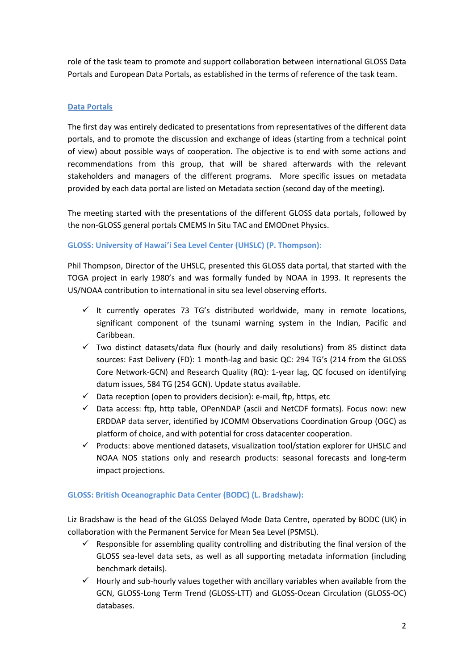role of the task team to promote and support collaboration between international GLOSS Data Portals and European Data Portals, as established in the terms of reference of the task team.

## **Data Portals**

The first day was entirely dedicated to presentations from representatives of the different data portals, and to promote the discussion and exchange of ideas (starting from a technical point of view) about possible ways of cooperation. The objective is to end with some actions and recommendations from this group, that will be shared afterwards with the relevant stakeholders and managers of the different programs. More specific issues on metadata provided by each data portal are listed on Metadata section (second day of the meeting).

The meeting started with the presentations of the different GLOSS data portals, followed by the non-GLOSS general portals CMEMS In Situ TAC and EMODnet Physics.

## **GLOSS: University of Hawai'i Sea Level Center (UHSLC) (P. Thompson):**

Phil Thompson, Director of the UHSLC, presented this GLOSS data portal, that started with the TOGA project in early 1980's and was formally funded by NOAA in 1993. It represents the US/NOAA contribution to international in situ sea level observing efforts.

- $\checkmark$  It currently operates 73 TG's distributed worldwide, many in remote locations, significant component of the tsunami warning system in the Indian, Pacific and Caribbean.
- $\checkmark$  Two distinct datasets/data flux (hourly and daily resolutions) from 85 distinct data sources: Fast Delivery (FD): 1 month-lag and basic QC: 294 TG's (214 from the GLOSS Core Network-GCN) and Research Quality (RQ): 1-year lag, QC focused on identifying datum issues, 584 TG (254 GCN). Update status available.
- $\checkmark$  Data reception (open to providers decision): e-mail, ftp, https, etc
- $\checkmark$  Data access: ftp, http table, OPenNDAP (ascii and NetCDF formats). Focus now: new ERDDAP data server, identified by JCOMM Observations Coordination Group (OGC) as platform of choice, and with potential for cross datacenter cooperation.
- ✓ Products: above mentioned datasets, visualization tool/station explorer for UHSLC and NOAA NOS stations only and research products: seasonal forecasts and long-term impact projections.

## **GLOSS: British Oceanographic Data Center (BODC) (L. Bradshaw):**

Liz Bradshaw is the head of the GLOSS Delayed Mode Data Centre, operated by BODC (UK) in collaboration with the Permanent Service for Mean Sea Level (PSMSL).

- $\checkmark$  Responsible for assembling quality controlling and distributing the final version of the GLOSS sea-level data sets, as well as all supporting metadata information (including benchmark details).
- $\checkmark$  Hourly and sub-hourly values together with ancillary variables when available from the GCN, GLOSS-Long Term Trend (GLOSS-LTT) and GLOSS-Ocean Circulation (GLOSS-OC) databases.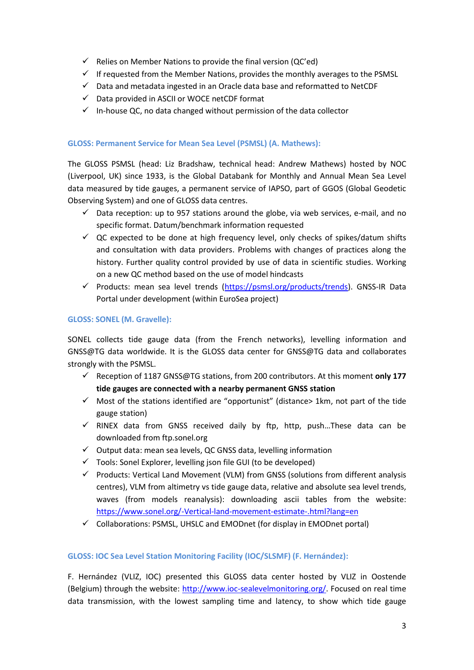- $\checkmark$  Relies on Member Nations to provide the final version (QC'ed)
- $\checkmark$  If requested from the Member Nations, provides the monthly averages to the PSMSL
- $\checkmark$  Data and metadata ingested in an Oracle data base and reformatted to NetCDF
- ✓ Data provided in ASCII or WOCE netCDF format
- $\checkmark$  In-house QC, no data changed without permission of the data collector

## **GLOSS: Permanent Service for Mean Sea Level (PSMSL) (A. Mathews):**

The GLOSS PSMSL (head: Liz Bradshaw, technical head: Andrew Mathews) hosted by NOC (Liverpool, UK) since 1933, is the Global Databank for Monthly and Annual Mean Sea Level data measured by tide gauges, a permanent service of IAPSO, part of GGOS (Global Geodetic Observing System) and one of GLOSS data centres.

- $\checkmark$  Data reception: up to 957 stations around the globe, via web services, e-mail, and no specific format. Datum/benchmark information requested
- $\checkmark$  QC expected to be done at high frequency level, only checks of spikes/datum shifts and consultation with data providers. Problems with changes of practices along the history. Further quality control provided by use of data in scientific studies. Working on a new QC method based on the use of model hindcasts
- $\checkmark$  Products: mean sea level trends [\(https://psmsl.org/products/trends\)](https://psmsl.org/products/trends). GNSS-IR Data Portal under development (within EuroSea project)

### **GLOSS: SONEL (M. Gravelle):**

SONEL collects tide gauge data (from the French networks), levelling information and GNSS@TG data worldwide. It is the GLOSS data center for GNSS@TG data and collaborates strongly with the PSMSL.

- ✓ Reception of 1187 GNSS@TG stations, from 200 contributors. At this moment **only 177 tide gauges are connected with a nearby permanent GNSS station**
- $\checkmark$  Most of the stations identified are "opportunist" (distance> 1km, not part of the tide gauge station)
- $\checkmark$  RINEX data from GNSS received daily by ftp, http, push...These data can be downloaded from ftp.sonel.org
- $\checkmark$  Output data: mean sea levels, QC GNSS data, levelling information
- $\checkmark$  Tools: Sonel Explorer, levelling json file GUI (to be developed)
- $\checkmark$  Products: Vertical Land Movement (VLM) from GNSS (solutions from different analysis centres), VLM from altimetry vs tide gauge data, relative and absolute sea level trends, waves (from models reanalysis): downloading ascii tables from the website: <https://www.sonel.org/-Vertical-land-movement-estimate-.html?lang=en>
- $\checkmark$  Collaborations: PSMSL, UHSLC and EMODnet (for display in EMODnet portal)

## **GLOSS: IOC Sea Level Station Monitoring Facility (IOC/SLSMF) (F. Hernández):**

F. Hernández (VLIZ, IOC) presented this GLOSS data center hosted by VLIZ in Oostende (Belgium) through the website: [http://www.ioc-sealevelmonitoring.org/.](http://www.ioc-sealevelmonitoring.org/) Focused on real time data transmission, with the lowest sampling time and latency, to show which tide gauge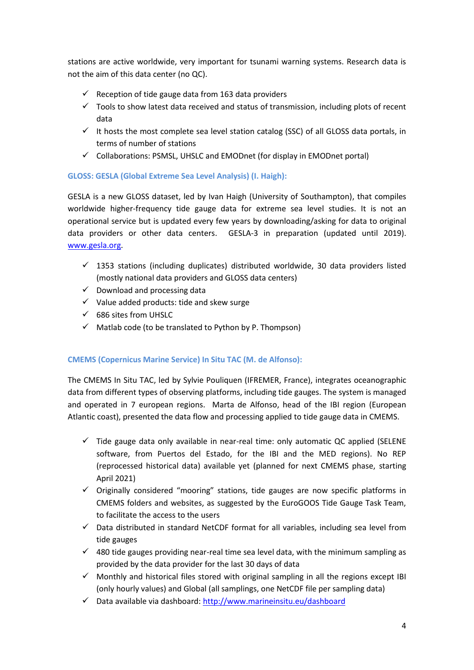stations are active worldwide, very important for tsunami warning systems. Research data is not the aim of this data center (no QC).

- $\checkmark$  Reception of tide gauge data from 163 data providers
- $\checkmark$  Tools to show latest data received and status of transmission, including plots of recent data
- $\checkmark$  It hosts the most complete sea level station catalog (SSC) of all GLOSS data portals, in terms of number of stations
- $\checkmark$  Collaborations: PSMSL, UHSLC and EMODnet (for display in EMODnet portal)

## **GLOSS: GESLA (Global Extreme Sea Level Analysis) (I. Haigh):**

GESLA is a new GLOSS dataset, led by Ivan Haigh (University of Southampton), that compiles worldwide higher-frequency tide gauge data for extreme sea level studies. It is not an operational service but is updated every few years by downloading/asking for data to original data providers or other data centers. GESLA-3 in preparation (updated until 2019). [www.gesla.org.](http://www.gesla.org/)

- $\checkmark$  1353 stations (including duplicates) distributed worldwide, 30 data providers listed (mostly national data providers and GLOSS data centers)
- $\checkmark$  Download and processing data
- $\checkmark$  Value added products: tide and skew surge
- ✓ 686 sites from UHSLC
- $\checkmark$  Matlab code (to be translated to Python by P. Thompson)

## **CMEMS (Copernicus Marine Service) In Situ TAC (M. de Alfonso):**

The CMEMS In Situ TAC, led by Sylvie Pouliquen (IFREMER, France), integrates oceanographic data from different types of observing platforms, including tide gauges. The system is managed and operated in 7 european regions. Marta de Alfonso, head of the IBI region (European Atlantic coast), presented the data flow and processing applied to tide gauge data in CMEMS.

- $\checkmark$  Tide gauge data only available in near-real time: only automatic QC applied (SELENE software, from Puertos del Estado, for the IBI and the MED regions). No REP (reprocessed historical data) available yet (planned for next CMEMS phase, starting April 2021)
- $\checkmark$  Originally considered "mooring" stations, tide gauges are now specific platforms in CMEMS folders and websites, as suggested by the EuroGOOS Tide Gauge Task Team, to facilitate the access to the users
- $\checkmark$  Data distributed in standard NetCDF format for all variables, including sea level from tide gauges
- $\checkmark$  480 tide gauges providing near-real time sea level data, with the minimum sampling as provided by the data provider for the last 30 days of data
- $\checkmark$  Monthly and historical files stored with original sampling in all the regions except IBI (only hourly values) and Global (all samplings, one NetCDF file per sampling data)
- ✓ Data available via dashboard:<http://www.marineinsitu.eu/dashboard>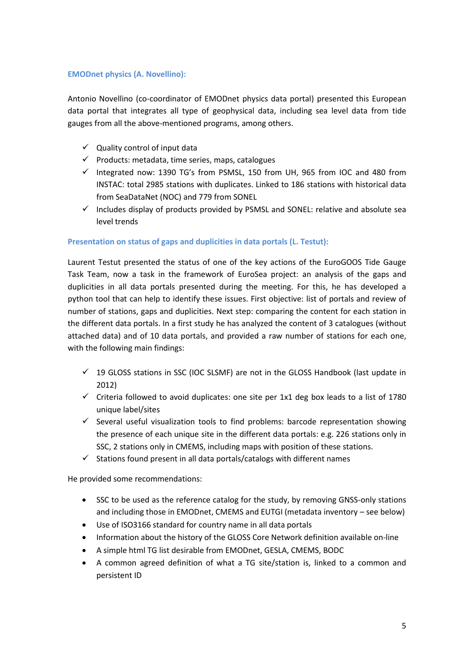### **EMODnet physics (A. Novellino):**

Antonio Novellino (co-coordinator of EMODnet physics data portal) presented this European data portal that integrates all type of geophysical data, including sea level data from tide gauges from all the above-mentioned programs, among others.

- $\checkmark$  Quality control of input data
- $\checkmark$  Products: metadata, time series, maps, catalogues
- $\checkmark$  Integrated now: 1390 TG's from PSMSL, 150 from UH, 965 from IOC and 480 from INSTAC: total 2985 stations with duplicates. Linked to 186 stations with historical data from SeaDataNet (NOC) and 779 from SONEL
- $\checkmark$  Includes display of products provided by PSMSL and SONEL: relative and absolute sea level trends

### **Presentation on status of gaps and duplicities in data portals (L. Testut):**

Laurent Testut presented the status of one of the key actions of the EuroGOOS Tide Gauge Task Team, now a task in the framework of EuroSea project: an analysis of the gaps and duplicities in all data portals presented during the meeting. For this, he has developed a python tool that can help to identify these issues. First objective: list of portals and review of number of stations, gaps and duplicities. Next step: comparing the content for each station in the different data portals. In a first study he has analyzed the content of 3 catalogues (without attached data) and of 10 data portals, and provided a raw number of stations for each one, with the following main findings:

- $\checkmark$  19 GLOSS stations in SSC (IOC SLSMF) are not in the GLOSS Handbook (last update in 2012)
- $\checkmark$  Criteria followed to avoid duplicates: one site per 1x1 deg box leads to a list of 1780 unique label/sites
- $\checkmark$  Several useful visualization tools to find problems: barcode representation showing the presence of each unique site in the different data portals: e.g. 226 stations only in SSC, 2 stations only in CMEMS, including maps with position of these stations.
- $\checkmark$  Stations found present in all data portals/catalogs with different names

He provided some recommendations:

- SSC to be used as the reference catalog for the study, by removing GNSS-only stations and including those in EMODnet, CMEMS and EUTGI (metadata inventory – see below)
- Use of ISO3166 standard for country name in all data portals
- Information about the history of the GLOSS Core Network definition available on-line
- A simple html TG list desirable from EMODnet, GESLA, CMEMS, BODC
- A common agreed definition of what a TG site/station is, linked to a common and persistent ID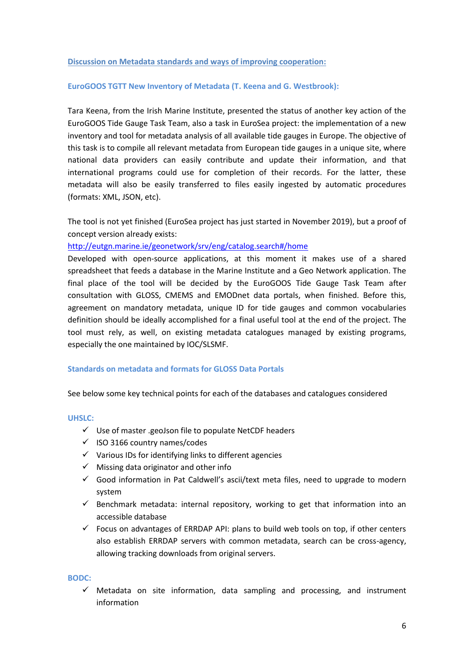#### **Discussion on Metadata standards and ways of improving cooperation:**

#### **EuroGOOS TGTT New Inventory of Metadata (T. Keena and G. Westbrook):**

Tara Keena, from the Irish Marine Institute, presented the status of another key action of the EuroGOOS Tide Gauge Task Team, also a task in EuroSea project: the implementation of a new inventory and tool for metadata analysis of all available tide gauges in Europe. The objective of this task is to compile all relevant metadata from European tide gauges in a unique site, where national data providers can easily contribute and update their information, and that international programs could use for completion of their records. For the latter, these metadata will also be easily transferred to files easily ingested by automatic procedures (formats: XML, JSON, etc).

The tool is not yet finished (EuroSea project has just started in November 2019), but a proof of concept version already exists:

#### <http://eutgn.marine.ie/geonetwork/srv/eng/catalog.search#/home>

Developed with open-source applications, at this moment it makes use of a shared spreadsheet that feeds a database in the Marine Institute and a Geo Network application. The final place of the tool will be decided by the EuroGOOS Tide Gauge Task Team after consultation with GLOSS, CMEMS and EMODnet data portals, when finished. Before this, agreement on mandatory metadata, unique ID for tide gauges and common vocabularies definition should be ideally accomplished for a final useful tool at the end of the project. The tool must rely, as well, on existing metadata catalogues managed by existing programs, especially the one maintained by IOC/SLSMF.

#### **Standards on metadata and formats for GLOSS Data Portals**

See below some key technical points for each of the databases and catalogues considered

#### **UHSLC:**

- ✓ Use of master .geoJson file to populate NetCDF headers
- ✓ ISO 3166 country names/codes
- $\checkmark$  Various IDs for identifying links to different agencies
- $\checkmark$  Missing data originator and other info
- $\checkmark$  Good information in Pat Caldwell's ascii/text meta files, need to upgrade to modern system
- $\checkmark$  Benchmark metadata: internal repository, working to get that information into an accessible database
- $\checkmark$  Focus on advantages of ERRDAP API: plans to build web tools on top, if other centers also establish ERRDAP servers with common metadata, search can be cross-agency, allowing tracking downloads from original servers.

#### **BODC:**

 $\checkmark$  Metadata on site information, data sampling and processing, and instrument information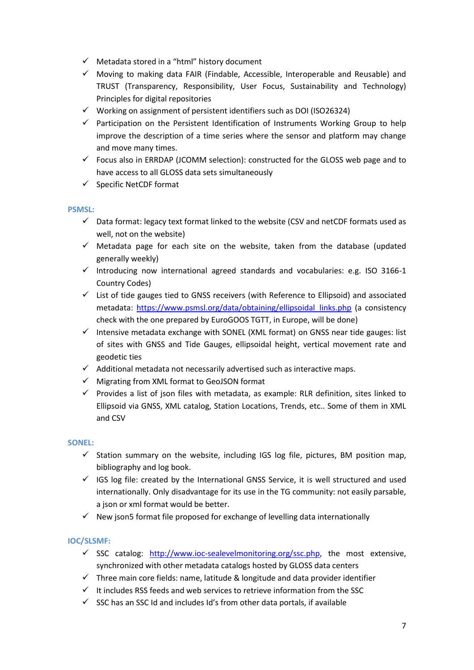- ✓ Metadata stored in a "html" history document
- $\checkmark$  Moving to making data FAIR (Findable, Accessible, Interoperable and Reusable) and TRUST (Transparency, Responsibility, User Focus, Sustainability and Technology) Principles for digital repositories
- ✓ Working on assignment of persistent identifiers such as DOI (ISO26324)
- $\checkmark$  Participation on the Persistent Identification of Instruments Working Group to help improve the description of a time series where the sensor and platform may change and move many times.
- $\checkmark$  Focus also in ERRDAP (JCOMM selection): constructed for the GLOSS web page and to have access to all GLOSS data sets simultaneously
- ✓ Specific NetCDF format

### **PSMSL:**

- $\checkmark$  Data format: legacy text format linked to the website (CSV and netCDF formats used as well, not on the website)
- $\checkmark$  Metadata page for each site on the website, taken from the database (updated generally weekly)
- $\checkmark$  Introducing now international agreed standards and vocabularies: e.g. ISO 3166-1 Country Codes)
- ✓ List of tide gauges tied to GNSS receivers (with Reference to Ellipsoid) and associated metadata: [https://www.psmsl.org/data/obtaining/ellipsoidal\\_links.php](https://www.psmsl.org/data/obtaining/ellipsoidal_links.php) (a consistency check with the one prepared by EuroGOOS TGTT, in Europe, will be done)
- $\checkmark$  Intensive metadata exchange with SONEL (XML format) on GNSS near tide gauges: list of sites with GNSS and Tide Gauges, ellipsoidal height, vertical movement rate and geodetic ties
- $\checkmark$  Additional metadata not necessarily advertised such as interactive maps.
- ✓ Migrating from XML format to GeoJSON format
- $\checkmark$  Provides a list of json files with metadata, as example: RLR definition, sites linked to Ellipsoid via GNSS, XML catalog, Station Locations, Trends, etc.. Some of them in XML and CSV

### **SONEL:**

- $\checkmark$  Station summary on the website, including IGS log file, pictures, BM position map, bibliography and log book.
- $\checkmark$  IGS log file: created by the International GNSS Service, it is well structured and used internationally. Only disadvantage for its use in the TG community: not easily parsable, a json or xml format would be better.
- $\checkmark$  New json5 format file proposed for exchange of levelling data internationally

## **IOC/SLSMF:**

- $\checkmark$  SSC catalog: [http://www.ioc-sealevelmonitoring.org/ssc.php,](http://www.ioc-sealevelmonitoring.org/ssc.php) the most extensive, synchronized with other metadata catalogs hosted by GLOSS data centers
- $\checkmark$  Three main core fields: name, latitude & longitude and data provider identifier
- $\checkmark$  It includes RSS feeds and web services to retrieve information from the SSC
- $\checkmark$  SSC has an SSC Id and includes Id's from other data portals, if available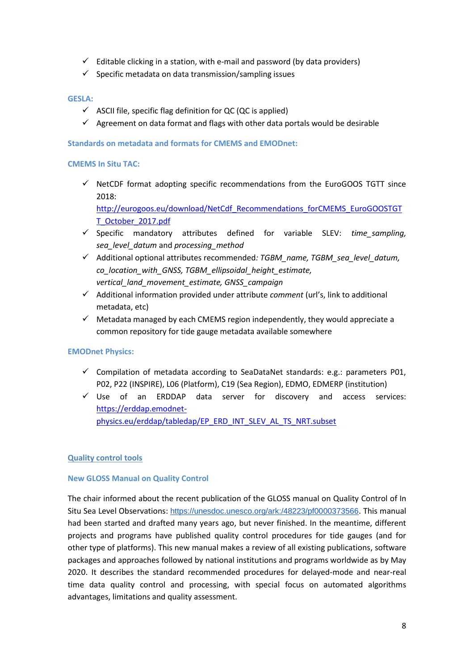- $\checkmark$  Editable clicking in a station, with e-mail and password (by data providers)
- $\checkmark$  Specific metadata on data transmission/sampling issues

### **GESLA:**

- $\checkmark$  ASCII file, specific flag definition for QC (QC is applied)
- $\checkmark$  Agreement on data format and flags with other data portals would be desirable

#### **Standards on metadata and formats for CMEMS and EMODnet:**

#### **CMEMS In Situ TAC:**

 $\checkmark$  NetCDF format adopting specific recommendations from the EuroGOOS TGTT since 2018:

[http://eurogoos.eu/download/NetCdf\\_Recommendations\\_forCMEMS\\_EuroGOOSTGT](http://eurogoos.eu/download/NetCdf_Recommendations_forCMEMS_EuroGOOSTGTT_October_2017.pdf) [T\\_October\\_2017.pdf](http://eurogoos.eu/download/NetCdf_Recommendations_forCMEMS_EuroGOOSTGTT_October_2017.pdf)

- ✓ Specific mandatory attributes defined for variable SLEV: *time\_sampling, sea\_level\_datum* and *processing\_method*
- ✓ Additional optional attributes recommended*: TGBM\_name, TGBM\_sea\_level\_datum, co\_location\_with\_GNSS, TGBM\_ellipsoidal\_height\_estimate, vertical\_land\_movement\_estimate, GNSS\_campaign*
- ✓ Additional information provided under attribute *comment* (url's, link to additional metadata, etc)
- $\checkmark$  Metadata managed by each CMEMS region independently, they would appreciate a common repository for tide gauge metadata available somewhere

### **EMODnet Physics:**

- $\checkmark$  Compilation of metadata according to SeaDataNet standards: e.g.: parameters P01, P02, P22 (INSPIRE), L06 (Platform), C19 (Sea Region), EDMO, EDMERP (institution)
- ✓ Use of an ERDDAP data server for discovery and access services: [https://erddap.emodnet](https://erddap.emodnet-physics.eu/erddap/tabledap/EP_ERD_INT_SLEV_AL_TS_NRT.subset)[physics.eu/erddap/tabledap/EP\\_ERD\\_INT\\_SLEV\\_AL\\_TS\\_NRT.subset](https://erddap.emodnet-physics.eu/erddap/tabledap/EP_ERD_INT_SLEV_AL_TS_NRT.subset)

### **Quality control tools**

#### **New GLOSS Manual on Quality Control**

The chair informed about the recent publication of the GLOSS manual on Quality Control of In Situ Sea Level Observations: https://unesdoc.unesco.org/ark:/48223/pf0000373566. This manual had been started and drafted many years ago, but never finished. In the meantime, different projects and programs have published quality control procedures for tide gauges (and for other type of platforms). This new manual makes a review of all existing publications, software packages and approaches followed by national institutions and programs worldwide as by May 2020. It describes the standard recommended procedures for delayed-mode and near-real time data quality control and processing, with special focus on automated algorithms advantages, limitations and quality assessment.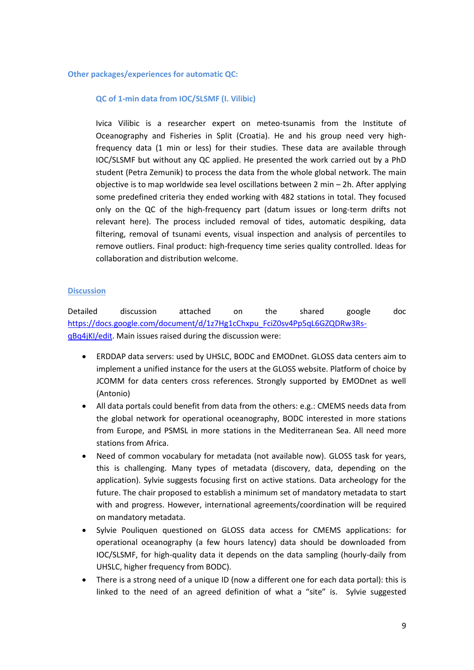#### **Other packages/experiences for automatic QC:**

#### **QC of 1-min data from IOC/SLSMF (I. Vilibic)**

Ivica Vilibic is a researcher expert on meteo-tsunamis from the Institute of Oceanography and Fisheries in Split (Croatia). He and his group need very highfrequency data (1 min or less) for their studies. These data are available through IOC/SLSMF but without any QC applied. He presented the work carried out by a PhD student (Petra Zemunik) to process the data from the whole global network. The main objective is to map worldwide sea level oscillations between 2 min – 2h. After applying some predefined criteria they ended working with 482 stations in total. They focused only on the QC of the high-frequency part (datum issues or long-term drifts not relevant here). The process included removal of tides, automatic despiking, data filtering, removal of tsunami events, visual inspection and analysis of percentiles to remove outliers. Final product: high-frequency time series quality controlled. Ideas for collaboration and distribution welcome.

#### **Discussion**

Detailed discussion attached on the shared google doc [https://docs.google.com/document/d/1z7Hg1cChxpu\\_FciZ0sv4Pp5qL6GZQDRw3Rs](https://docs.google.com/document/d/1z7Hg1cChxpu_FciZ0sv4Pp5qL6GZQDRw3Rs-qBq4jKI/edit)[qBq4jKI/edit.](https://docs.google.com/document/d/1z7Hg1cChxpu_FciZ0sv4Pp5qL6GZQDRw3Rs-qBq4jKI/edit) Main issues raised during the discussion were:

- ERDDAP data servers: used by UHSLC, BODC and EMODnet. GLOSS data centers aim to implement a unified instance for the users at the GLOSS website. Platform of choice by JCOMM for data centers cross references. Strongly supported by EMODnet as well (Antonio)
- All data portals could benefit from data from the others: e.g.: CMEMS needs data from the global network for operational oceanography, BODC interested in more stations from Europe, and PSMSL in more stations in the Mediterranean Sea. All need more stations from Africa.
- Need of common vocabulary for metadata (not available now). GLOSS task for years, this is challenging. Many types of metadata (discovery, data, depending on the application). Sylvie suggests focusing first on active stations. Data archeology for the future. The chair proposed to establish a minimum set of mandatory metadata to start with and progress. However, international agreements/coordination will be required on mandatory metadata.
- Sylvie Pouliquen questioned on GLOSS data access for CMEMS applications: for operational oceanography (a few hours latency) data should be downloaded from IOC/SLSMF, for high-quality data it depends on the data sampling (hourly-daily from UHSLC, higher frequency from BODC).
- There is a strong need of a unique ID (now a different one for each data portal): this is linked to the need of an agreed definition of what a "site" is. Sylvie suggested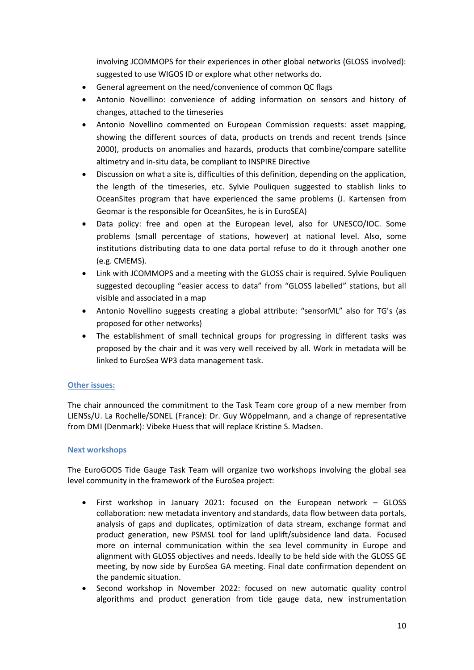involving JCOMMOPS for their experiences in other global networks (GLOSS involved): suggested to use WIGOS ID or explore what other networks do.

- General agreement on the need/convenience of common QC flags
- Antonio Novellino: convenience of adding information on sensors and history of changes, attached to the timeseries
- Antonio Novellino commented on European Commission requests: asset mapping, showing the different sources of data, products on trends and recent trends (since 2000), products on anomalies and hazards, products that combine/compare satellite altimetry and in-situ data, be compliant to INSPIRE Directive
- Discussion on what a site is, difficulties of this definition, depending on the application, the length of the timeseries, etc. Sylvie Pouliquen suggested to stablish links to OceanSites program that have experienced the same problems (J. Kartensen from Geomar is the responsible for OceanSites, he is in EuroSEA)
- Data policy: free and open at the European level, also for UNESCO/IOC. Some problems (small percentage of stations, however) at national level. Also, some institutions distributing data to one data portal refuse to do it through another one (e.g. CMEMS).
- Link with JCOMMOPS and a meeting with the GLOSS chair is required. Sylvie Pouliquen suggested decoupling "easier access to data" from "GLOSS labelled" stations, but all visible and associated in a map
- Antonio Novellino suggests creating a global attribute: "sensorML" also for TG's (as proposed for other networks)
- The establishment of small technical groups for progressing in different tasks was proposed by the chair and it was very well received by all. Work in metadata will be linked to EuroSea WP3 data management task.

## **Other issues:**

The chair announced the commitment to the Task Team core group of a new member from LIENSs/U. La Rochelle/SONEL (France): Dr. Guy Wöppelmann, and a change of representative from DMI (Denmark): Vibeke Huess that will replace Kristine S. Madsen.

## **Next workshops**

The EuroGOOS Tide Gauge Task Team will organize two workshops involving the global sea level community in the framework of the EuroSea project:

- First workshop in January 2021: focused on the European network GLOSS collaboration: new metadata inventory and standards, data flow between data portals, analysis of gaps and duplicates, optimization of data stream, exchange format and product generation, new PSMSL tool for land uplift/subsidence land data. Focused more on internal communication within the sea level community in Europe and alignment with GLOSS objectives and needs. Ideally to be held side with the GLOSS GE meeting, by now side by EuroSea GA meeting. Final date confirmation dependent on the pandemic situation.
- Second workshop in November 2022: focused on new automatic quality control algorithms and product generation from tide gauge data, new instrumentation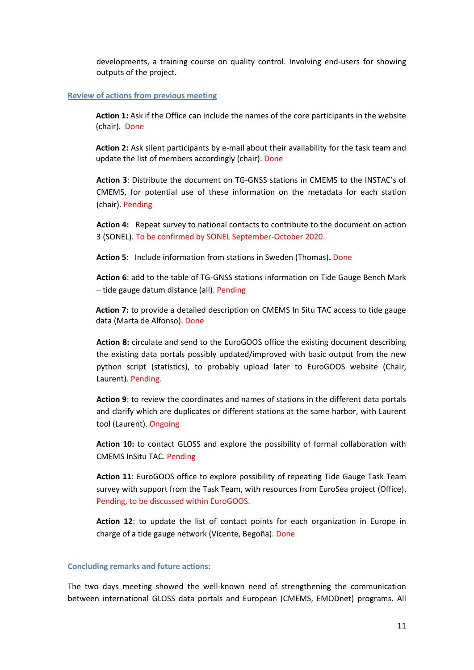developments, a training course on quality control. Involving end-users for showing outputs of the project.

#### **Review of actions from previous meeting**

**Action 1:** Ask if the Office can include the names of the core participants in the website (chair). Done

**Action 2:** Ask silent participants by e-mail about their availability for the task team and update the list of members accordingly (chair). Done

**Action 3**: Distribute the document on TG-GNSS stations in CMEMS to the INSTAC's of CMEMS, for potential use of these information on the metadata for each station (chair). Pending

**Action 4:** Repeat survey to national contacts to contribute to the document on action 3 (SONEL). To be confirmed by SONEL September-October 2020.

**Action 5**: Include information from stations in Sweden (Thomas)**.** Done

**Action 6**: add to the table of TG-GNSS stations information on Tide Gauge Bench Mark – tide gauge datum distance (all). Pending

**Action 7:** to provide a detailed description on CMEMS In Situ TAC access to tide gauge data (Marta de Alfonso). Done

**Action 8:** circulate and send to the EuroGOOS office the existing document describing the existing data portals possibly updated/improved with basic output from the new python script (statistics), to probably upload later to EuroGOOS website (Chair, Laurent). Pending.

**Action 9**: to review the coordinates and names of stations in the different data portals and clarify which are duplicates or different stations at the same harbor, with Laurent tool (Laurent). Ongoing

**Action 10:** to contact GLOSS and explore the possibility of formal collaboration with CMEMS InSitu TAC. Pending

**Action 11**: EuroGOOS office to explore possibility of repeating Tide Gauge Task Team survey with support from the Task Team, with resources from EuroSea project (Office). Pending, to be discussed within EuroGOOS.

**Action 12**: to update the list of contact points for each organization in Europe in charge of a tide gauge network (Vicente, Begoña). Done

#### **Concluding remarks and future actions:**

The two days meeting showed the well-known need of strengthening the communication between international GLOSS data portals and European (CMEMS, EMODnet) programs. All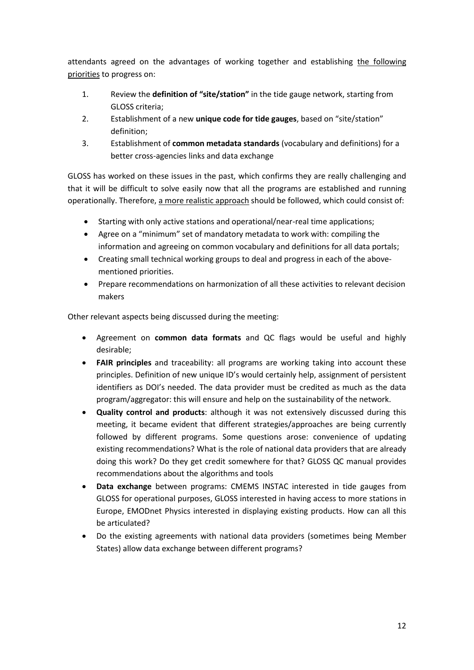attendants agreed on the advantages of working together and establishing the following priorities to progress on:

- 1. Review the **definition of "site/station"** in the tide gauge network, starting from GLOSS criteria;
- 2. Establishment of a new **unique code for tide gauges**, based on "site/station" definition;
- 3. Establishment of **common metadata standards** (vocabulary and definitions) for a better cross-agencies links and data exchange

GLOSS has worked on these issues in the past, which confirms they are really challenging and that it will be difficult to solve easily now that all the programs are established and running operationally. Therefore, a more realistic approach should be followed, which could consist of:

- Starting with only active stations and operational/near-real time applications;
- Agree on a "minimum" set of mandatory metadata to work with: compiling the information and agreeing on common vocabulary and definitions for all data portals;
- Creating small technical working groups to deal and progress in each of the abovementioned priorities.
- Prepare recommendations on harmonization of all these activities to relevant decision makers

Other relevant aspects being discussed during the meeting:

- Agreement on **common data formats** and QC flags would be useful and highly desirable;
- **FAIR principles** and traceability: all programs are working taking into account these principles. Definition of new unique ID's would certainly help, assignment of persistent identifiers as DOI's needed. The data provider must be credited as much as the data program/aggregator: this will ensure and help on the sustainability of the network.
- **Quality control and products**: although it was not extensively discussed during this meeting, it became evident that different strategies/approaches are being currently followed by different programs. Some questions arose: convenience of updating existing recommendations? What is the role of national data providers that are already doing this work? Do they get credit somewhere for that? GLOSS QC manual provides recommendations about the algorithms and tools
- **Data exchange** between programs: CMEMS INSTAC interested in tide gauges from GLOSS for operational purposes, GLOSS interested in having access to more stations in Europe, EMODnet Physics interested in displaying existing products. How can all this be articulated?
- Do the existing agreements with national data providers (sometimes being Member States) allow data exchange between different programs?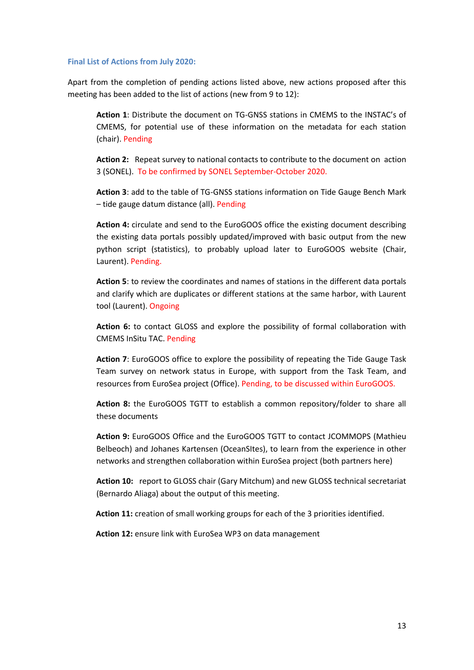#### **Final List of Actions from July 2020:**

Apart from the completion of pending actions listed above, new actions proposed after this meeting has been added to the list of actions (new from 9 to 12):

**Action 1**: Distribute the document on TG-GNSS stations in CMEMS to the INSTAC's of CMEMS, for potential use of these information on the metadata for each station (chair). Pending

**Action 2:** Repeat survey to national contacts to contribute to the document on action 3 (SONEL). To be confirmed by SONEL September-October 2020.

**Action 3**: add to the table of TG-GNSS stations information on Tide Gauge Bench Mark – tide gauge datum distance (all). Pending

**Action 4:** circulate and send to the EuroGOOS office the existing document describing the existing data portals possibly updated/improved with basic output from the new python script (statistics), to probably upload later to EuroGOOS website (Chair, Laurent). Pending.

**Action 5**: to review the coordinates and names of stations in the different data portals and clarify which are duplicates or different stations at the same harbor, with Laurent tool (Laurent). Ongoing

**Action 6:** to contact GLOSS and explore the possibility of formal collaboration with CMEMS InSitu TAC. Pending

**Action 7**: EuroGOOS office to explore the possibility of repeating the Tide Gauge Task Team survey on network status in Europe, with support from the Task Team, and resources from EuroSea project (Office). Pending, to be discussed within EuroGOOS.

**Action 8:** the EuroGOOS TGTT to establish a common repository/folder to share all these documents

**Action 9:** EuroGOOS Office and the EuroGOOS TGTT to contact JCOMMOPS (Mathieu Belbeoch) and Johanes Kartensen (OceanSItes), to learn from the experience in other networks and strengthen collaboration within EuroSea project (both partners here)

**Action 10:** report to GLOSS chair (Gary Mitchum) and new GLOSS technical secretariat (Bernardo Aliaga) about the output of this meeting.

**Action 11:** creation of small working groups for each of the 3 priorities identified.

**Action 12:** ensure link with EuroSea WP3 on data management